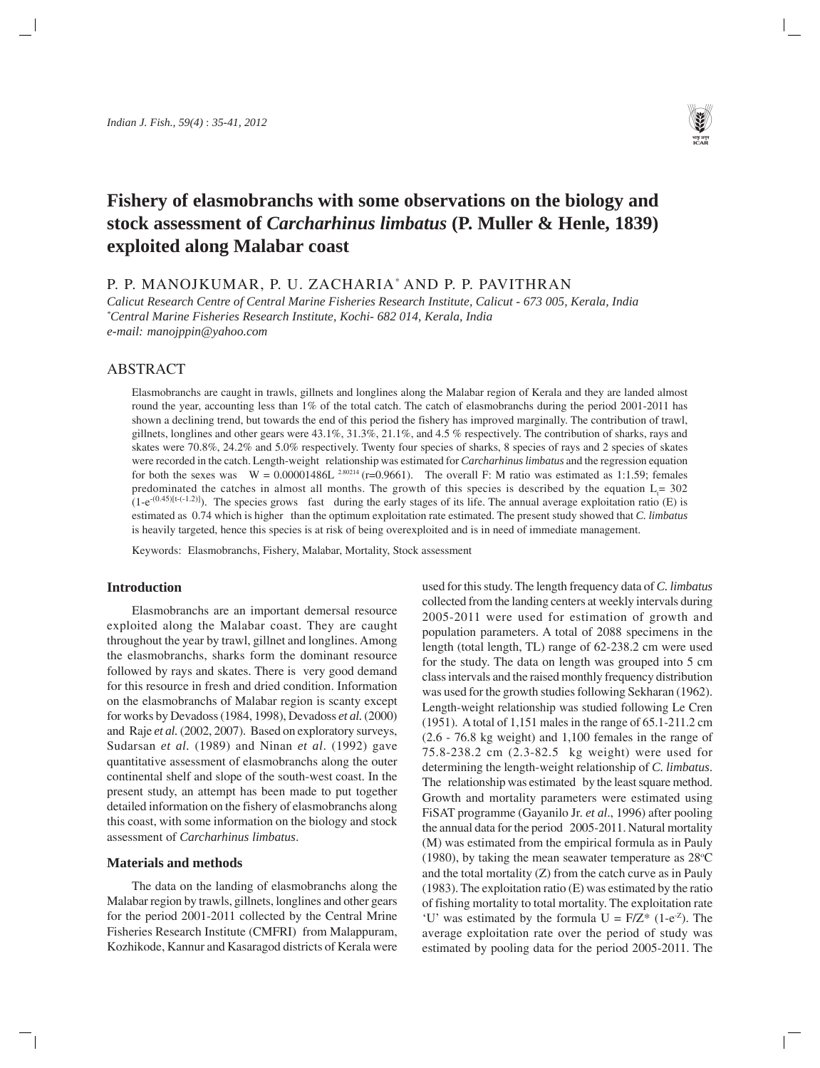

# **Fishery of elasmobranchs with some observations on the biology and stock assessment of** *Carcharhinus limbatus* **(P. Muller & Henle, 1839) exploited along Malabar coast**

P. P. MANOJKUMAR, P. U. ZACHARIA\* AND P. P. PAVITHRAN

*Calicut Research Centre of Central Marine Fisheries Research Institute, Calicut - 673 005, Kerala, India \* Central Marine Fisheries Research Institute, Kochi- 682 014, Kerala, India e-mail: manojppin@yahoo.com*

## ABSTRACT

Elasmobranchs are caught in trawls, gillnets and longlines along the Malabar region of Kerala and they are landed almost round the year, accounting less than 1% of the total catch. The catch of elasmobranchs during the period 2001-2011 has shown a declining trend, but towards the end of this period the fishery has improved marginally. The contribution of trawl, gillnets, longlines and other gears were 43.1%, 31.3%, 21.1%, and 4.5 % respectively. The contribution of sharks, rays and skates were 70.8%, 24.2% and 5.0% respectively. Twenty four species of sharks, 8 species of rays and 2 species of skates were recorded in the catch. Length-weight relationship was estimated for *Carcharhinus limbatus* and the regression equation for both the sexes was  $W = 0.00001486L^{2.80214}$  (r=0.9661). The overall F: M ratio was estimated as 1:1.59; females predominated the catches in almost all months. The growth of this species is described by the equation  $L_t = 302$  $(1-e^{-(0.45)[t-(-1.2)]})$ . The species grows fast during the early stages of its life. The annual average exploitation ratio (E) is estimated as 0.74 which is higher than the optimum exploitation rate estimated. The present study showed that *C. limbatus* is heavily targeted, hence this species is at risk of being overexploited and is in need of immediate management.

Keywords: Elasmobranchs, Fishery, Malabar, Mortality, Stock assessment

### **Introduction**

Elasmobranchs are an important demersal resource exploited along the Malabar coast. They are caught throughout the year by trawl, gillnet and longlines. Among the elasmobranchs, sharks form the dominant resource followed by rays and skates. There is very good demand for this resource in fresh and dried condition. Information on the elasmobranchs of Malabar region is scanty except for works by Devadoss (1984, 1998), Devadoss *et al.* (2000) and Raje *et al.* (2002, 2007). Based on exploratory surveys, Sudarsan *et al.* (1989) and Ninan *et al*. (1992) gave quantitative assessment of elasmobranchs along the outer continental shelf and slope of the south-west coast. In the present study, an attempt has been made to put together detailed information on the fishery of elasmobranchs along this coast, with some information on the biology and stock assessment of *Carcharhinus limbatus*.

## **Materials and methods**

The data on the landing of elasmobranchs along the Malabar region by trawls, gillnets, longlines and other gears for the period 2001-2011 collected by the Central Mrine Fisheries Research Institute (CMFRI) from Malappuram, Kozhikode, Kannur and Kasaragod districts of Kerala were

used for this study. The length frequency data of *C. limbatus* collected from the landing centers at weekly intervals during 2005-2011 were used for estimation of growth and population parameters. A total of 2088 specimens in the length (total length, TL) range of 62-238.2 cm were used for the study. The data on length was grouped into 5 cm class intervals and the raised monthly frequency distribution was used for the growth studies following Sekharan (1962). Length-weight relationship was studied following Le Cren (1951). A total of 1,151 males in the range of 65.1-211.2 cm (2.6 - 76.8 kg weight) and 1,100 females in the range of 75.8-238.2 cm (2.3-82.5 kg weight) were used for determining the length-weight relationship of *C. limbatus*. The relationship was estimated by the least square method. Growth and mortality parameters were estimated using FiSAT programme (Gayanilo Jr. *et al*., 1996) after pooling the annual data for the period 2005-2011. Natural mortality (M) was estimated from the empirical formula as in Pauly (1980), by taking the mean seawater temperature as  $28^{\circ}$ C and the total mortality (Z) from the catch curve as in Pauly (1983). The exploitation ratio (E) was estimated by the ratio of fishing mortality to total mortality. The exploitation rate 'U' was estimated by the formula  $U = F/Z^*$  (1-e<sup>-z</sup>). The average exploitation rate over the period of study was estimated by pooling data for the period 2005-2011. The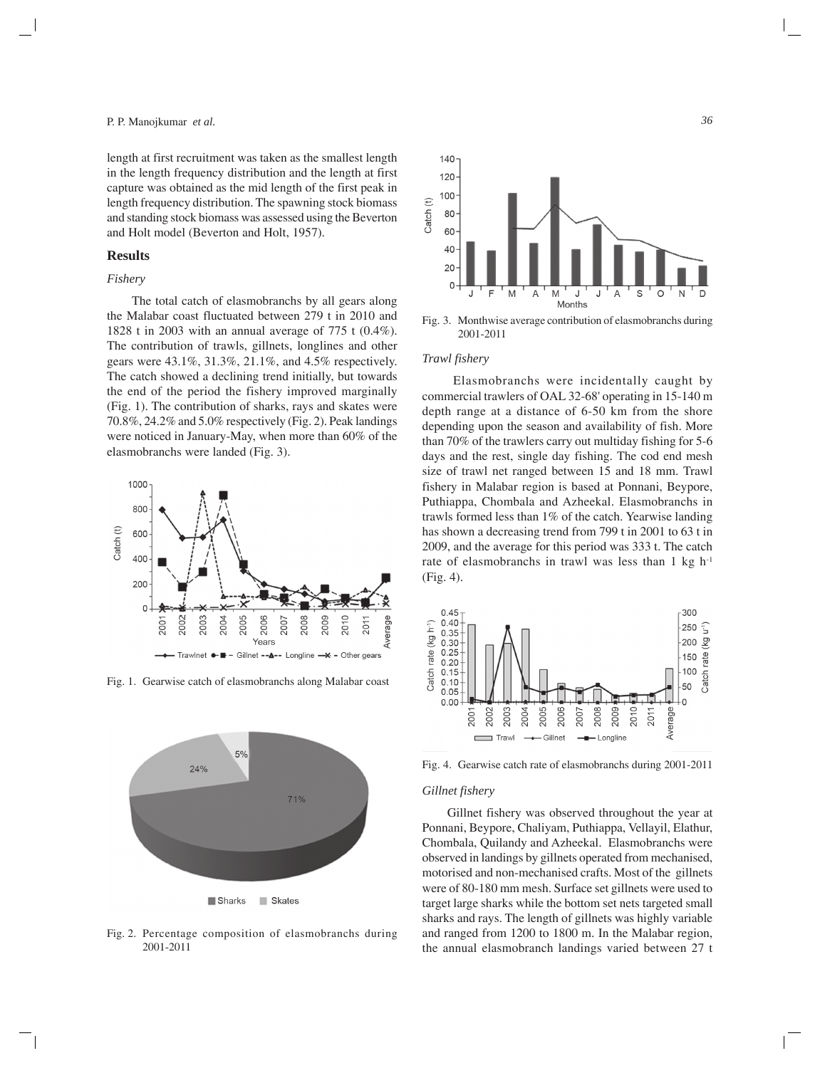length at first recruitment was taken as the smallest length in the length frequency distribution and the length at first capture was obtained as the mid length of the first peak in length frequency distribution. The spawning stock biomass and standing stock biomass was assessed using the Beverton and Holt model (Beverton and Holt, 1957).

## **Results**

#### *Fishery*

The total catch of elasmobranchs by all gears along the Malabar coast fluctuated between 279 t in 2010 and 1828 t in 2003 with an annual average of 775 t (0.4%). The contribution of trawls, gillnets, longlines and other gears were 43.1%, 31.3%, 21.1%, and 4.5% respectively. The catch showed a declining trend initially, but towards the end of the period the fishery improved marginally (Fig. 1). The contribution of sharks, rays and skates were 70.8%, 24.2% and 5.0% respectively (Fig. 2). Peak landings were noticed in January-May, when more than 60% of the elasmobranchs were landed (Fig. 3).



Fig. 1. Gearwise catch of elasmobranchs along Malabar coast



Fig. 2. Percentage composition of elasmobranchs during 2001-2011



Fig. 3. Monthwise average contribution of elasmobranchs during 2001-2011

## *Trawl fishery*

Elasmobranchs were incidentally caught by commercial trawlers of OAL 32-68' operating in 15-140 m depth range at a distance of 6-50 km from the shore depending upon the season and availability of fish. More than 70% of the trawlers carry out multiday fishing for 5-6 days and the rest, single day fishing. The cod end mesh size of trawl net ranged between 15 and 18 mm. Trawl fishery in Malabar region is based at Ponnani, Beypore, Puthiappa, Chombala and Azheekal. Elasmobranchs in trawls formed less than 1% of the catch. Yearwise landing has shown a decreasing trend from 799 t in 2001 to 63 t in 2009, and the average for this period was 333 t. The catch rate of elasmobranchs in trawl was less than 1 kg h-1 (Fig. 4).



Fig. 4. Gearwise catch rate of elasmobranchs during 2001-2011

#### *Gillnet fishery*

Gillnet fishery was observed throughout the year at Ponnani, Beypore, Chaliyam, Puthiappa, Vellayil, Elathur, Chombala, Quilandy and Azheekal. Elasmobranchs were observed in landings by gillnets operated from mechanised, motorised and non-mechanised crafts. Most of the gillnets were of 80-180 mm mesh. Surface set gillnets were used to target large sharks while the bottom set nets targeted small sharks and rays. The length of gillnets was highly variable and ranged from 1200 to 1800 m. In the Malabar region, the annual elasmobranch landings varied between 27 t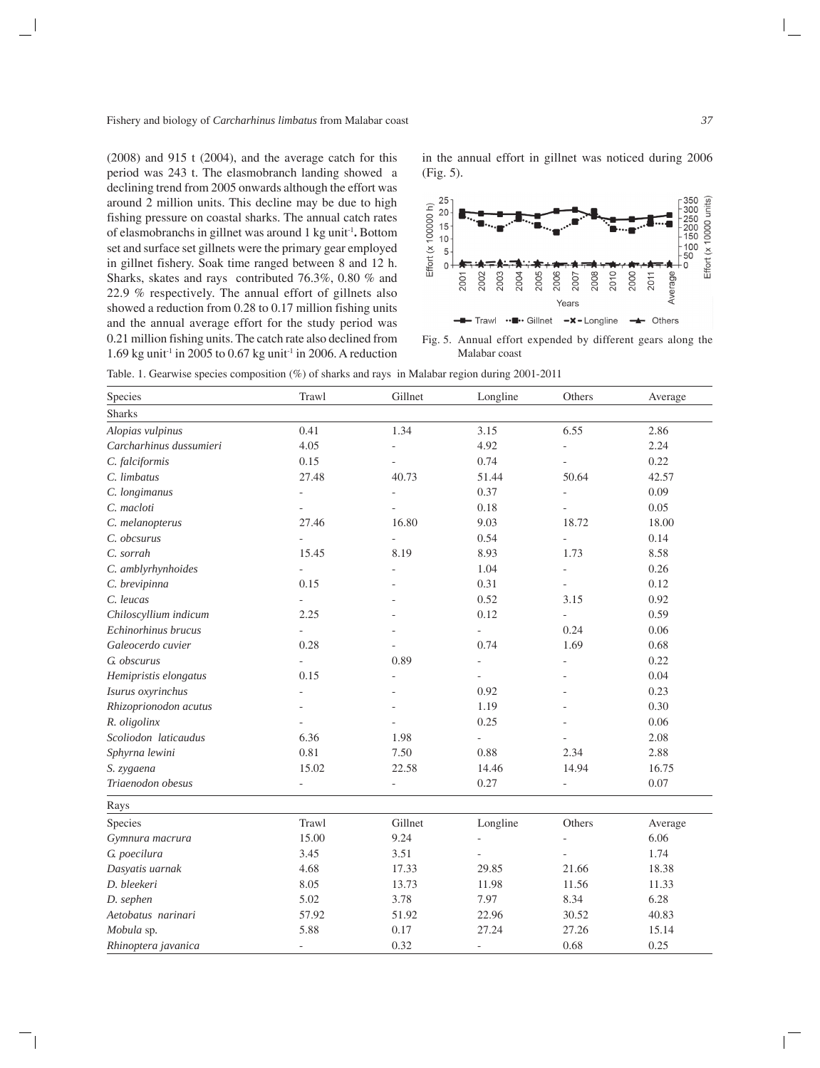(2008) and 915 t (2004), and the average catch for this period was 243 t. The elasmobranch landing showed a declining trend from 2005 onwards although the effort was around 2 million units. This decline may be due to high fishing pressure on coastal sharks. The annual catch rates of elasmobranchs in gillnet was around 1 kg unit-1**.** Bottom set and surface set gillnets were the primary gear employed in gillnet fishery. Soak time ranged between 8 and 12 h. Sharks, skates and rays contributed 76.3%, 0.80 % and 22.9 % respectively. The annual effort of gillnets also showed a reduction from 0.28 to 0.17 million fishing units and the annual average effort for the study period was 0.21 million fishing units. The catch rate also declined from 1.69 kg unit<sup>-1</sup> in 2005 to 0.67 kg unit<sup>-1</sup> in 2006. A reduction in the annual effort in gillnet was noticed during 2006 (Fig. 5).



Fig. 5. Annual effort expended by different gears along the Malabar coast

Table. 1. Gearwise species composition (%) of sharks and rays in Malabar region during 2001-2011

| Species                 | Trawl                    | Gillnet        | Longline                 | Others                   | Average |
|-------------------------|--------------------------|----------------|--------------------------|--------------------------|---------|
| <b>Sharks</b>           |                          |                |                          |                          |         |
| Alopias vulpinus        | 0.41                     | 1.34           | 3.15                     | 6.55                     | 2.86    |
| Carcharhinus dussumieri | 4.05                     | $\overline{a}$ | 4.92                     | ÷,                       | 2.24    |
| C. falciformis          | 0.15                     | ÷,             | 0.74                     | ÷,                       | 0.22    |
| C. limbatus             | 27.48                    | 40.73          | 51.44                    | 50.64                    | 42.57   |
| C. longimanus           | ÷,                       |                | 0.37                     | $\overline{\phantom{0}}$ | 0.09    |
| C. macloti              | $\bar{a}$                | $\overline{a}$ | 0.18                     | ÷,                       | 0.05    |
| C. melanopterus         | 27.46                    | 16.80          | 9.03                     | 18.72                    | 18.00   |
| C. obcsurus             | ÷,                       | $\overline{a}$ | 0.54                     |                          | 0.14    |
| C. sorrah               | 15.45                    | 8.19           | 8.93                     | 1.73                     | 8.58    |
| C. amblyrhynhoides      | $\bar{\phantom{a}}$      |                | 1.04                     | ÷,                       | 0.26    |
| C. brevipinna           | 0.15                     |                | 0.31                     | ÷,                       | 0.12    |
| C. leucas               | L,                       |                | 0.52                     | 3.15                     | 0.92    |
| Chiloscyllium indicum   | 2.25                     |                | 0.12                     | $\overline{a}$           | 0.59    |
| Echinorhinus brucus     | L,                       |                | $\overline{a}$           | 0.24                     | 0.06    |
| Galeocerdo cuvier       | 0.28                     |                | 0.74                     | 1.69                     | 0.68    |
| G. obscurus             | L,                       | 0.89           | ÷,                       |                          | 0.22    |
| Hemipristis elongatus   | 0.15                     |                | $\overline{a}$           |                          | 0.04    |
| Isurus oxyrinchus       |                          |                | 0.92                     |                          | 0.23    |
| Rhizoprionodon acutus   |                          |                | 1.19                     |                          | 0.30    |
| R. oligolinx            |                          |                | 0.25                     |                          | 0.06    |
| Scoliodon laticaudus    | 6.36                     | 1.98           | $\overline{a}$           |                          | 2.08    |
| Sphyrna lewini          | 0.81                     | 7.50           | 0.88                     | 2.34                     | 2.88    |
| S. zygaena              | 15.02                    | 22.58          | 14.46                    | 14.94                    | 16.75   |
| Triaenodon obesus       | $\overline{\phantom{a}}$ | L.             | 0.27                     | $\overline{a}$           | 0.07    |
| Rays                    |                          |                |                          |                          |         |
| Species                 | Trawl                    | Gillnet        | Longline                 | Others                   | Average |
| Gymnura macrura         | 15.00                    | 9.24           |                          |                          | 6.06    |
| G. poecilura            | 3.45                     | 3.51           |                          |                          | 1.74    |
| Dasyatis uarnak         | 4.68                     | 17.33          | 29.85                    | 21.66                    | 18.38   |
| D. bleekeri             | 8.05                     | 13.73          | 11.98                    | 11.56                    | 11.33   |
| D. sephen               | 5.02                     | 3.78           | 7.97                     | 8.34                     | 6.28    |
| Aetobatus narinari      | 57.92                    | 51.92          | 22.96                    | 30.52                    | 40.83   |
| Mobula sp.              | 5.88                     | 0.17           | 27.24                    | 27.26                    | 15.14   |
| Rhinoptera javanica     | $\overline{\phantom{a}}$ | 0.32           | $\overline{\phantom{a}}$ | 0.68                     | 0.25    |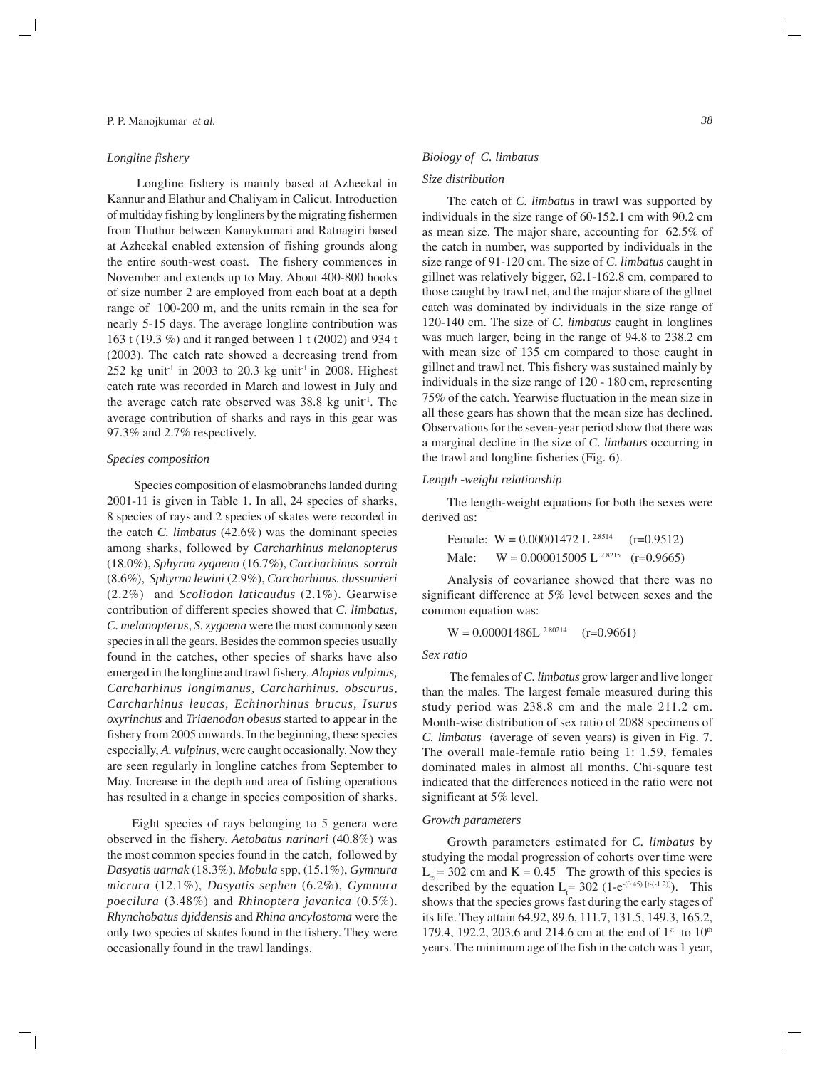#### *Longline fishery*

Longline fishery is mainly based at Azheekal in Kannur and Elathur and Chaliyam in Calicut. Introduction of multiday fishing by longliners by the migrating fishermen from Thuthur between Kanaykumari and Ratnagiri based at Azheekal enabled extension of fishing grounds along the entire south-west coast. The fishery commences in November and extends up to May. About 400-800 hooks of size number 2 are employed from each boat at a depth range of 100-200 m, and the units remain in the sea for nearly 5-15 days. The average longline contribution was 163 t (19.3 %) and it ranged between 1 t (2002) and 934 t (2003). The catch rate showed a decreasing trend from 252 kg unit<sup>-1</sup> in 2003 to 20.3 kg unit<sup>-1</sup> in 2008. Highest catch rate was recorded in March and lowest in July and the average catch rate observed was 38.8 kg unit<sup>-1</sup>. The average contribution of sharks and rays in this gear was 97.3% and 2.7% respectively.

## *Species composition*

Species composition of elasmobranchs landed during 2001-11 is given in Table 1. In all, 24 species of sharks, 8 species of rays and 2 species of skates were recorded in the catch *C. limbatus* (42.6%) was the dominant species among sharks, followed by *Carcharhinus melanopterus* (18.0%), *Sphyrna zygaena* (16.7%), *Carcharhinus sorrah* (8.6%), *Sphyrna lewini* (2.9%), *Carcharhinus. dussumieri* (2.2%) and *Scoliodon laticaudus* (2.1%). Gearwise contribution of different species showed that *C. limbatus*, *C. melanopterus*, *S. zygaena* were the most commonly seen species in all the gears. Besides the common species usually found in the catches, other species of sharks have also emerged in the longline and trawl fishery. *Alopias vulpinus, Carcharhinus longimanus, Carcharhinus. obscurus, Carcharhinus leucas, Echinorhinus brucus, Isurus oxyrinchus* and *Triaenodon obesus* started to appear in the fishery from 2005 onwards. In the beginning, these species especially, *A. vulpinus*, were caught occasionally. Now they are seen regularly in longline catches from September to May. Increase in the depth and area of fishing operations has resulted in a change in species composition of sharks.

Eight species of rays belonging to 5 genera were observed in the fishery. *Aetobatus narinari* (40.8%) was the most common species found in the catch, followed by *Dasyatis uarnak* (18.3%), *Mobula* spp, (15.1%), *Gymnura micrura* (12.1%), *Dasyatis sephen* (6.2%), *Gymnura poecilura* (3.48%) and *Rhinoptera javanica* (0.5%). *Rhynchobatus djiddensis* and *Rhina ancylostoma* were the only two species of skates found in the fishery. They were occasionally found in the trawl landings.

#### *Biology of C. limbatus*

## *Size distribution*

The catch of *C. limbatus* in trawl was supported by individuals in the size range of 60-152.1 cm with 90.2 cm as mean size. The major share, accounting for 62.5% of the catch in number, was supported by individuals in the size range of 91-120 cm. The size of *C. limbatus* caught in gillnet was relatively bigger, 62.1-162.8 cm, compared to those caught by trawl net, and the major share of the gllnet catch was dominated by individuals in the size range of 120-140 cm. The size of *C. limbatus* caught in longlines was much larger, being in the range of 94.8 to 238.2 cm with mean size of 135 cm compared to those caught in gillnet and trawl net. This fishery was sustained mainly by individuals in the size range of 120 - 180 cm, representing 75% of the catch. Yearwise fluctuation in the mean size in all these gears has shown that the mean size has declined. Observations for the seven-year period show that there was a marginal decline in the size of *C. limbatus* occurring in the trawl and longline fisheries (Fig. 6).

## *Length -weight relationship*

The length-weight equations for both the sexes were derived as:

Female: W = 0.00001472 L 2.8514 (r=0.9512) Male: W = 0.000015005 L 2.8215 (r=0.9665)

Analysis of covariance showed that there was no significant difference at 5% level between sexes and the common equation was:

 $W = 0.00001486L^{2.80214}$  (r=0.9661)

#### *Sex ratio*

The females of *C. limbatus* grow larger and live longer than the males. The largest female measured during this study period was 238.8 cm and the male 211.2 cm. Month-wise distribution of sex ratio of 2088 specimens of *C. limbatus* (average of seven years) is given in Fig. 7. The overall male-female ratio being 1: 1.59, females dominated males in almost all months. Chi-square test indicated that the differences noticed in the ratio were not significant at 5% level.

### *Growth parameters*

Growth parameters estimated for *C. limbatus* by studying the modal progression of cohorts over time were  $L_{\infty}$  = 302 cm and K = 0.45 The growth of this species is described by the equation  $L_t = 302$  (1-e<sup>-(0.45) [t-(-1.2)]</sup>). This shows that the species grows fast during the early stages of its life. They attain 64.92, 89.6, 111.7, 131.5, 149.3, 165.2, 179.4, 192.2, 203.6 and 214.6 cm at the end of  $1<sup>st</sup>$  to  $10<sup>th</sup>$ years. The minimum age of the fish in the catch was 1 year,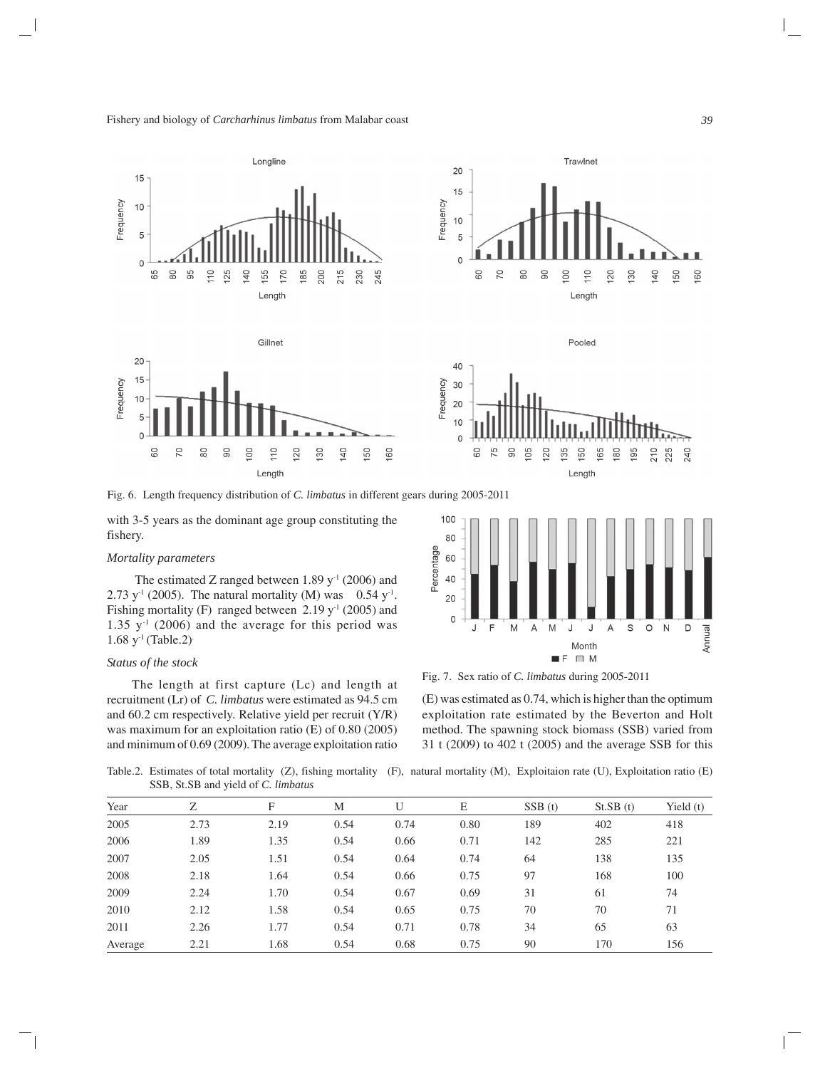Fishery and biology of *Carcharhinus limbatus* from Malabar coast





Pooled





Fig. 6. Length frequency distribution of *C. limbatus* in different gears during 2005-2011

with 3-5 years as the dominant age group constituting the fishery.

### *Mortality parameters*

The estimated Z ranged between  $1.89$  y<sup>-1</sup> (2006) and 2.73 y<sup>-1</sup> (2005). The natural mortality (M) was 0.54 y<sup>-1</sup>. Fishing mortality (F) ranged between  $2.19 \text{ y}^{-1}$  (2005) and 1.35  $y<sup>-1</sup>$  (2006) and the average for this period was  $1.68 \text{ y}^{-1}$  (Table.2).

# *Status of the stock*

The length at first capture (Lc) and length at recruitment (Lr) of *C. limbatus* were estimated as 94.5 cm and 60.2 cm respectively. Relative yield per recruit (Y/R) was maximum for an exploitation ratio (E) of 0.80 (2005) and minimum of 0.69 (2009). The average exploitation ratio



Fig. 7. Sex ratio of *C. limbatus* during 2005-2011

(E) was estimated as 0.74, which is higher than the optimum exploitation rate estimated by the Beverton and Holt method. The spawning stock biomass (SSB) varied from 31 t (2009) to 402 t (2005) and the average SSB for this

Table.2. Estimates of total mortality (Z), fishing mortality (F), natural mortality (M), Exploitaion rate (U), Exploitation ratio (E) SSB, St.SB and yield of *C. limbatus*

| Year    | Ζ    | F    | M    | U    | E    | SSB(t) | St.SB(t) | Yield $(t)$ |  |  |
|---------|------|------|------|------|------|--------|----------|-------------|--|--|
| 2005    | 2.73 | 2.19 | 0.54 | 0.74 | 0.80 | 189    | 402      | 418         |  |  |
| 2006    | 1.89 | 1.35 | 0.54 | 0.66 | 0.71 | 142    | 285      | 221         |  |  |
| 2007    | 2.05 | 1.51 | 0.54 | 0.64 | 0.74 | 64     | 138      | 135         |  |  |
| 2008    | 2.18 | 1.64 | 0.54 | 0.66 | 0.75 | 97     | 168      | 100         |  |  |
| 2009    | 2.24 | 1.70 | 0.54 | 0.67 | 0.69 | 31     | 61       | 74          |  |  |
| 2010    | 2.12 | 1.58 | 0.54 | 0.65 | 0.75 | 70     | 70       | 71          |  |  |
| 2011    | 2.26 | 1.77 | 0.54 | 0.71 | 0.78 | 34     | 65       | 63          |  |  |
| Average | 2.21 | 1.68 | 0.54 | 0.68 | 0.75 | 90     | 170      | 156         |  |  |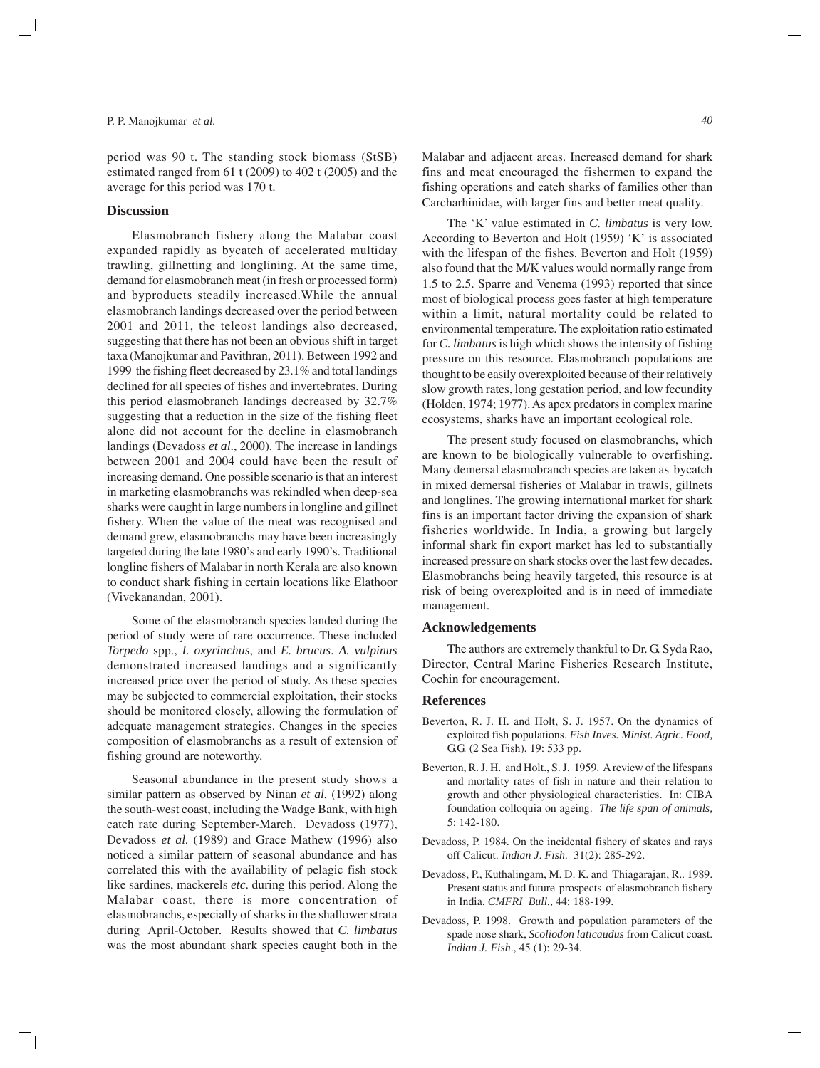period was 90 t. The standing stock biomass (StSB) estimated ranged from 61 t (2009) to 402 t (2005) and the average for this period was 170 t.

#### **Discussion**

Elasmobranch fishery along the Malabar coast expanded rapidly as bycatch of accelerated multiday trawling, gillnetting and longlining. At the same time, demand for elasmobranch meat (in fresh or processed form) and byproducts steadily increased.While the annual elasmobranch landings decreased over the period between 2001 and 2011, the teleost landings also decreased, suggesting that there has not been an obvious shift in target taxa (Manojkumar and Pavithran, 2011). Between 1992 and 1999 the fishing fleet decreased by 23.1% and total landings declined for all species of fishes and invertebrates. During this period elasmobranch landings decreased by 32.7% suggesting that a reduction in the size of the fishing fleet alone did not account for the decline in elasmobranch landings (Devadoss *et al*., 2000). The increase in landings between 2001 and 2004 could have been the result of increasing demand. One possible scenario is that an interest in marketing elasmobranchs was rekindled when deep-sea sharks were caught in large numbers in longline and gillnet fishery. When the value of the meat was recognised and demand grew, elasmobranchs may have been increasingly targeted during the late 1980's and early 1990's. Traditional longline fishers of Malabar in north Kerala are also known to conduct shark fishing in certain locations like Elathoor (Vivekanandan, 2001).

Some of the elasmobranch species landed during the period of study were of rare occurrence. These included *Torpedo* spp., *I. oxyrinchus*, and *E. brucus*. *A. vulpinus* demonstrated increased landings and a significantly increased price over the period of study. As these species may be subjected to commercial exploitation, their stocks should be monitored closely, allowing the formulation of adequate management strategies. Changes in the species composition of elasmobranchs as a result of extension of fishing ground are noteworthy.

Seasonal abundance in the present study shows a similar pattern as observed by Ninan *et al.* (1992) along the south-west coast, including the Wadge Bank, with high catch rate during September-March. Devadoss (1977), Devadoss *et al.* (1989) and Grace Mathew (1996) also noticed a similar pattern of seasonal abundance and has correlated this with the availability of pelagic fish stock like sardines, mackerels *etc*. during this period. Along the Malabar coast, there is more concentration of elasmobranchs, especially of sharks in the shallower strata during April-October. Results showed that *C. limbatus* was the most abundant shark species caught both in the

Malabar and adjacent areas. Increased demand for shark fins and meat encouraged the fishermen to expand the fishing operations and catch sharks of families other than Carcharhinidae, with larger fins and better meat quality.

The 'K' value estimated in *C. limbatus* is very low. According to Beverton and Holt (1959) 'K' is associated with the lifespan of the fishes. Beverton and Holt (1959) also found that the M/K values would normally range from 1.5 to 2.5. Sparre and Venema (1993) reported that since most of biological process goes faster at high temperature within a limit, natural mortality could be related to environmental temperature. The exploitation ratio estimated for *C. limbatus* is high which shows the intensity of fishing pressure on this resource. Elasmobranch populations are thought to be easily overexploited because of their relatively slow growth rates, long gestation period, and low fecundity (Holden, 1974; 1977). As apex predators in complex marine ecosystems, sharks have an important ecological role.

The present study focused on elasmobranchs, which are known to be biologically vulnerable to overfishing. Many demersal elasmobranch species are taken as bycatch in mixed demersal fisheries of Malabar in trawls, gillnets and longlines. The growing international market for shark fins is an important factor driving the expansion of shark fisheries worldwide. In India, a growing but largely informal shark fin export market has led to substantially increased pressure on shark stocks over the last few decades. Elasmobranchs being heavily targeted, this resource is at risk of being overexploited and is in need of immediate management.

## **Acknowledgements**

The authors are extremely thankful to Dr. G. Syda Rao, Director, Central Marine Fisheries Research Institute, Cochin for encouragement.

## **References**

- Beverton, R. J. H. and Holt, S. J. 1957. On the dynamics of exploited fish populations. *Fish Inves. Minist. Agric. Food,* G.G. (2 Sea Fish), 19: 533 pp.
- Beverton, R. J. H. and Holt., S. J. 1959. A review of the lifespans and mortality rates of fish in nature and their relation to growth and other physiological characteristics. In: CIBA foundation colloquia on ageing. *The life span of animals,* 5: 142-180.
- Devadoss, P. 1984. On the incidental fishery of skates and rays off Calicut. *Indian J*. *Fish*.31(2): 285-292.
- Devadoss, P., Kuthalingam, M. D. K. and Thiagarajan, R.. 1989. Present status and future prospects of elasmobranch fishery in India. *CMFRI Bull.*, 44: 188-199.
- Devadoss, P. 1998. Growth and population parameters of the spade nose shark, *Scoliodon laticaudus* from Calicut coast. *Indian J. Fish*., 45 (1): 29-34.